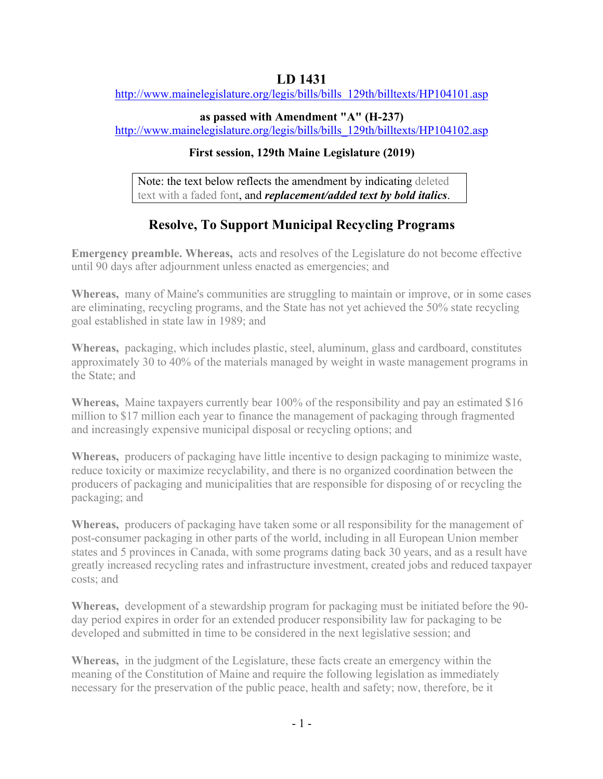# **LD 1431**

http://www.mainelegislature.org/legis/bills/bills\_129th/billtexts/HP104101.asp

## **as passed with Amendment "A" (H-237)**

http://www.mainelegislature.org/legis/bills/bills\_129th/billtexts/HP104102.asp

# **First session, 129th Maine Legislature (2019)**

Note: the text below reflects the amendment by indicating deleted text with a faded font, and *replacement/added text by bold italics*.

# **Resolve, To Support Municipal Recycling Programs**

**Emergency preamble. Whereas,** acts and resolves of the Legislature do not become effective until 90 days after adjournment unless enacted as emergencies; and

**Whereas,** many of Maine's communities are struggling to maintain or improve, or in some cases are eliminating, recycling programs, and the State has not yet achieved the 50% state recycling goal established in state law in 1989; and

**Whereas,** packaging, which includes plastic, steel, aluminum, glass and cardboard, constitutes approximately 30 to 40% of the materials managed by weight in waste management programs in the State; and

**Whereas,** Maine taxpayers currently bear 100% of the responsibility and pay an estimated \$16 million to \$17 million each year to finance the management of packaging through fragmented and increasingly expensive municipal disposal or recycling options; and

**Whereas,** producers of packaging have little incentive to design packaging to minimize waste, reduce toxicity or maximize recyclability, and there is no organized coordination between the producers of packaging and municipalities that are responsible for disposing of or recycling the packaging; and

**Whereas,** producers of packaging have taken some or all responsibility for the management of post-consumer packaging in other parts of the world, including in all European Union member states and 5 provinces in Canada, with some programs dating back 30 years, and as a result have greatly increased recycling rates and infrastructure investment, created jobs and reduced taxpayer costs; and

**Whereas,** development of a stewardship program for packaging must be initiated before the 90 day period expires in order for an extended producer responsibility law for packaging to be developed and submitted in time to be considered in the next legislative session; and

**Whereas,** in the judgment of the Legislature, these facts create an emergency within the meaning of the Constitution of Maine and require the following legislation as immediately necessary for the preservation of the public peace, health and safety; now, therefore, be it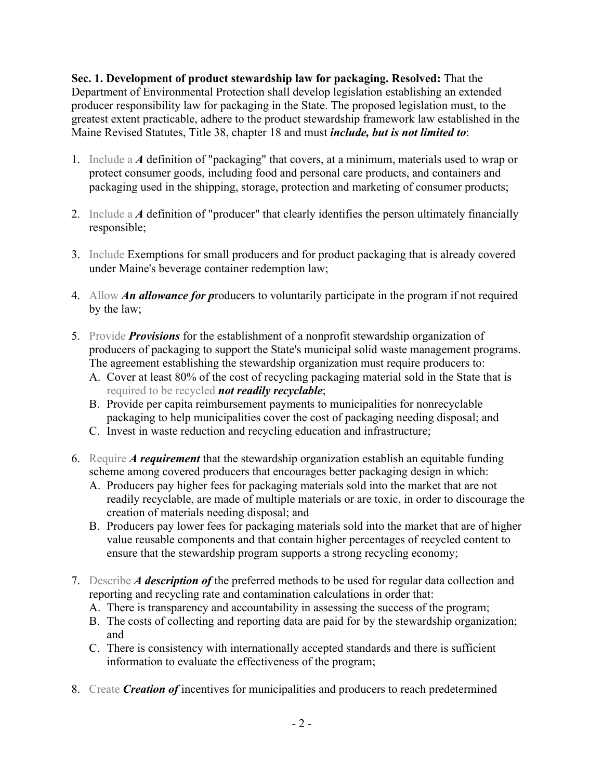**Sec. 1. Development of product stewardship law for packaging. Resolved:** That the Department of Environmental Protection shall develop legislation establishing an extended producer responsibility law for packaging in the State. The proposed legislation must, to the greatest extent practicable, adhere to the product stewardship framework law established in the Maine Revised Statutes, Title 38, chapter 18 and must *include, but is not limited to*:

- 1. Include a *A* definition of "packaging" that covers, at a minimum, materials used to wrap or protect consumer goods, including food and personal care products, and containers and packaging used in the shipping, storage, protection and marketing of consumer products;
- 2. Include a *A* definition of "producer" that clearly identifies the person ultimately financially responsible;
- 3. Include Exemptions for small producers and for product packaging that is already covered under Maine's beverage container redemption law;
- 4. Allow *An allowance for p*roducers to voluntarily participate in the program if not required by the law;
- 5. Provide *Provisions* for the establishment of a nonprofit stewardship organization of producers of packaging to support the State's municipal solid waste management programs. The agreement establishing the stewardship organization must require producers to:
	- A. Cover at least 80% of the cost of recycling packaging material sold in the State that is required to be recycled *not readily recyclable*;
	- B. Provide per capita reimbursement payments to municipalities for nonrecyclable packaging to help municipalities cover the cost of packaging needing disposal; and
	- C. Invest in waste reduction and recycling education and infrastructure;
- 6. Require *A requirement* that the stewardship organization establish an equitable funding scheme among covered producers that encourages better packaging design in which:
	- A. Producers pay higher fees for packaging materials sold into the market that are not readily recyclable, are made of multiple materials or are toxic, in order to discourage the creation of materials needing disposal; and
	- B. Producers pay lower fees for packaging materials sold into the market that are of higher value reusable components and that contain higher percentages of recycled content to ensure that the stewardship program supports a strong recycling economy;
- 7. Describe *A description of* the preferred methods to be used for regular data collection and reporting and recycling rate and contamination calculations in order that:
	- A. There is transparency and accountability in assessing the success of the program;
	- B. The costs of collecting and reporting data are paid for by the stewardship organization; and
	- C. There is consistency with internationally accepted standards and there is sufficient information to evaluate the effectiveness of the program;
- 8. Create *Creation of* incentives for municipalities and producers to reach predetermined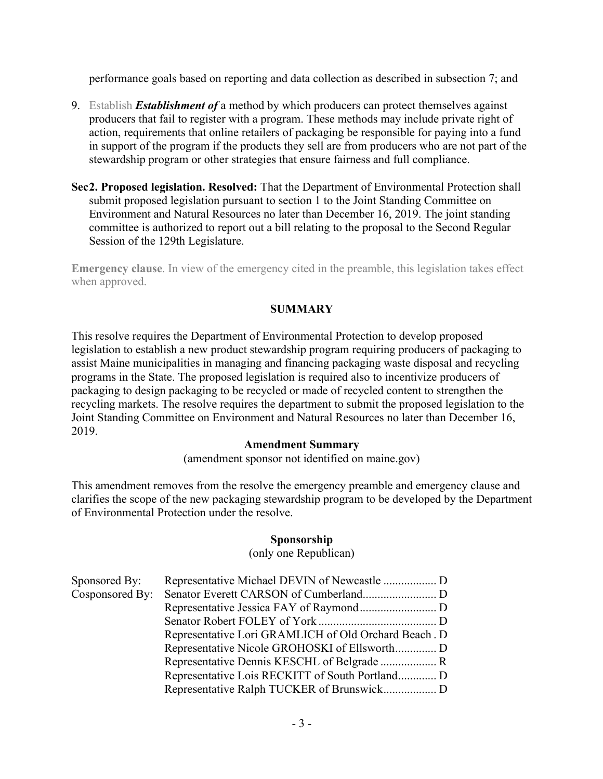performance goals based on reporting and data collection as described in subsection 7; and

- 9. Establish *Establishment of* a method by which producers can protect themselves against producers that fail to register with a program. These methods may include private right of action, requirements that online retailers of packaging be responsible for paying into a fund in support of the program if the products they sell are from producers who are not part of the stewardship program or other strategies that ensure fairness and full compliance.
- **Sec2. Proposed legislation. Resolved:** That the Department of Environmental Protection shall submit proposed legislation pursuant to section 1 to the Joint Standing Committee on Environment and Natural Resources no later than December 16, 2019. The joint standing committee is authorized to report out a bill relating to the proposal to the Second Regular Session of the 129th Legislature.

**Emergency clause**. In view of the emergency cited in the preamble, this legislation takes effect when approved.

## **SUMMARY**

This resolve requires the Department of Environmental Protection to develop proposed legislation to establish a new product stewardship program requiring producers of packaging to assist Maine municipalities in managing and financing packaging waste disposal and recycling programs in the State. The proposed legislation is required also to incentivize producers of packaging to design packaging to be recycled or made of recycled content to strengthen the recycling markets. The resolve requires the department to submit the proposed legislation to the Joint Standing Committee on Environment and Natural Resources no later than December 16, 2019.

### **Amendment Summary**

(amendment sponsor not identified on maine.gov)

This amendment removes from the resolve the emergency preamble and emergency clause and clarifies the scope of the new packaging stewardship program to be developed by the Department of Environmental Protection under the resolve.

### **Sponsorship**

(only one Republican)

| Sponsored By:   |                                                      |  |
|-----------------|------------------------------------------------------|--|
| Cosponsored By: |                                                      |  |
|                 |                                                      |  |
|                 |                                                      |  |
|                 | Representative Lori GRAMLICH of Old Orchard Beach. D |  |
|                 |                                                      |  |
|                 |                                                      |  |
|                 |                                                      |  |
|                 |                                                      |  |